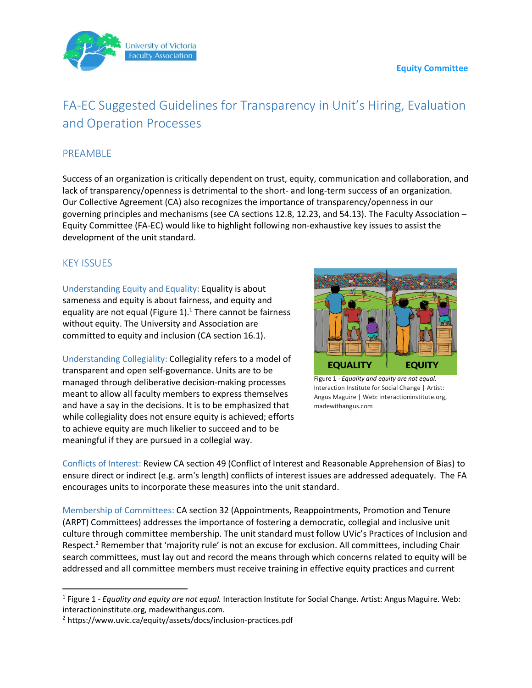## **Equity Committee**



## FA-EC Suggested Guidelines for Transparency in Unit's Hiring, Evaluation and Operation Processes

## PREAMBLE

Success of an organization is critically dependent on trust, equity, communication and collaboration, and lack of transparency/openness is detrimental to the short- and long-term success of an organization. Our Collective Agreement (CA) also recognizes the importance of transparency/openness in our governing principles and mechanisms (see CA sections 12.8, 12.23, and 54.13). The Faculty Association – Equity Committee (FA-EC) would like to highlight following non-exhaustive key issues to assist the development of the unit standard.

## KEY ISSUES

Understanding Equity and Equality: Equality is about sameness and equity is about fairness, and equity and equality are not equal (Figure 1). $<sup>1</sup>$  There cannot be fairness</sup> without equity. The University and Association are committed to equity and inclusion (CA section 16.1).

Understanding Collegiality: Collegiality refers to a model of transparent and open self-governance. Units are to be managed through deliberative decision-making processes meant to allow all faculty members to express themselves and have a say in the decisions. It is to be emphasized that while collegiality does not ensure equity is achieved; efforts to achieve equity are much likelier to succeed and to be meaningful if they are pursued in a collegial way.



Figure 1 - *Equality and equity are not equal.* Interaction Institute for Social Change | Artist: Angus Maguire | Web: interactioninstitute.org, madewithangus.com

Conflicts of Interest: Review CA section 49 (Conflict of Interest and Reasonable Apprehension of Bias) to ensure direct or indirect (e.g. arm's length) conflicts of interest issues are addressed adequately. The FA encourages units to incorporate these measures into the unit standard.

Membership of Committees: CA section 32 (Appointments, Reappointments, Promotion and Tenure (ARPT) Committees) addresses the importance of fostering a democratic, collegial and inclusive unit culture through committee membership. The unit standard must follow UVic's Practices of Inclusion and Respect.<sup>2</sup> Remember that 'majority rule' is not an excuse for exclusion. All committees, including Chair search committees, must lay out and record the means through which concerns related to equity will be addressed and all committee members must receive training in effective equity practices and current

<sup>&</sup>lt;sup>1</sup> Figure 1 - *Equality and equity are not equal.* Interaction Institute for Social Change. Artist: Angus Maguire. Web: interactioninstitute.org, madewithangus.com.

<sup>2</sup> https://www.uvic.ca/equity/assets/docs/inclusion-practices.pdf